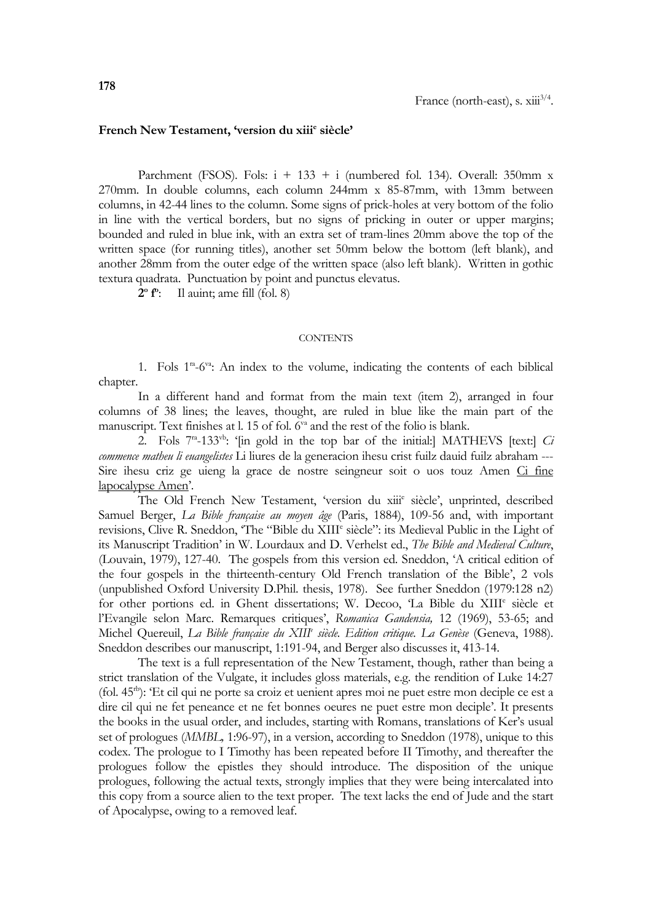## **French New Testament, 'version du xiii<sup>e</sup> siècle'**

Parchment (FSOS). Fols:  $i + 133 + i$  (numbered fol. 134). Overall: 350mm x 270mm. In double columns, each column 244mm x 85-87mm, with 13mm between columns, in 42-44 lines to the column. Some signs of prick-holes at very bottom of the folio in line with the vertical borders, but no signs of pricking in outer or upper margins; bounded and ruled in blue ink, with an extra set of tram-lines 20mm above the top of the written space (for running titles), another set 50mm below the bottom (left blank), and another 28mm from the outer edge of the written space (also left blank). Written in gothic textura quadrata. Punctuation by point and punctus elevatus.

**2 o f o** : Il auint; ame fill (fol. 8)

## **CONTENTS**

1. Fols 1<sup>ra</sup>-6<sup>va</sup>: An index to the volume, indicating the contents of each biblical chapter.

In a different hand and format from the main text (item 2), arranged in four columns of 38 lines; the leaves, thought, are ruled in blue like the main part of the manuscript. Text finishes at l. 15 of fol.  $6^{va}$  and the rest of the folio is blank.

2. Fols  $7^{\text{ra}}-133^{\text{vb}}$ : '[in gold in the top bar of the initial:] MATHEVS [text:] *Ci commence matheu li euangelistes* Li liures de la generacion ihesu crist fuilz dauid fuilz abraham --- Sire ihesu criz ge uieng la grace de nostre seingneur soit o uos touz Amen Ci fine lapocalypse Amen'.

The Old French New Testament, 'version du xiii<sup>e</sup> siècle', unprinted, described Samuel Berger, *La Bible française au moyen âge* (Paris, 1884), 109-56 and, with important revisions, Clive R. Sneddon, 'The "Bible du XIII<sup>e</sup> siècle": its Medieval Public in the Light of its Manuscript Tradition' in W. Lourdaux and D. Verhelst ed., *The Bible and Medieval Culture*, (Louvain, 1979), 127-40. The gospels from this version ed. Sneddon, 'A critical edition of the four gospels in the thirteenth-century Old French translation of the Bible', 2 vols (unpublished Oxford University D.Phil. thesis, 1978). See further Sneddon (1979:128 n2) for other portions ed. in Ghent dissertations; W. Decoo, 'La Bible du XIII<sup>e</sup> siècle et l'Evangile selon Marc. Remarques critiques', *Romanica Gandensia,* 12 (1969), 53-65; and Michel Quereuil, *La Bible française du XIII<sup>e</sup> siècle. Edition critique. La Genèse* (Geneva, 1988). Sneddon describes our manuscript, 1:191-94, and Berger also discusses it, 413-14.

The text is a full representation of the New Testament, though, rather than being a strict translation of the Vulgate, it includes gloss materials, e.g. the rendition of Luke 14:27 (fol. 45rb): 'Et cil qui ne porte sa croiz et uenient apres moi ne puet estre mon deciple ce est a dire cil qui ne fet peneance et ne fet bonnes oeures ne puet estre mon deciple'. It presents the books in the usual order, and includes, starting with Romans, translations of Ker's usual set of prologues (*MMBL,* 1:96-97), in a version, according to Sneddon (1978), unique to this codex. The prologue to I Timothy has been repeated before II Timothy, and thereafter the prologues follow the epistles they should introduce. The disposition of the unique prologues, following the actual texts, strongly implies that they were being intercalated into this copy from a source alien to the text proper. The text lacks the end of Jude and the start of Apocalypse, owing to a removed leaf.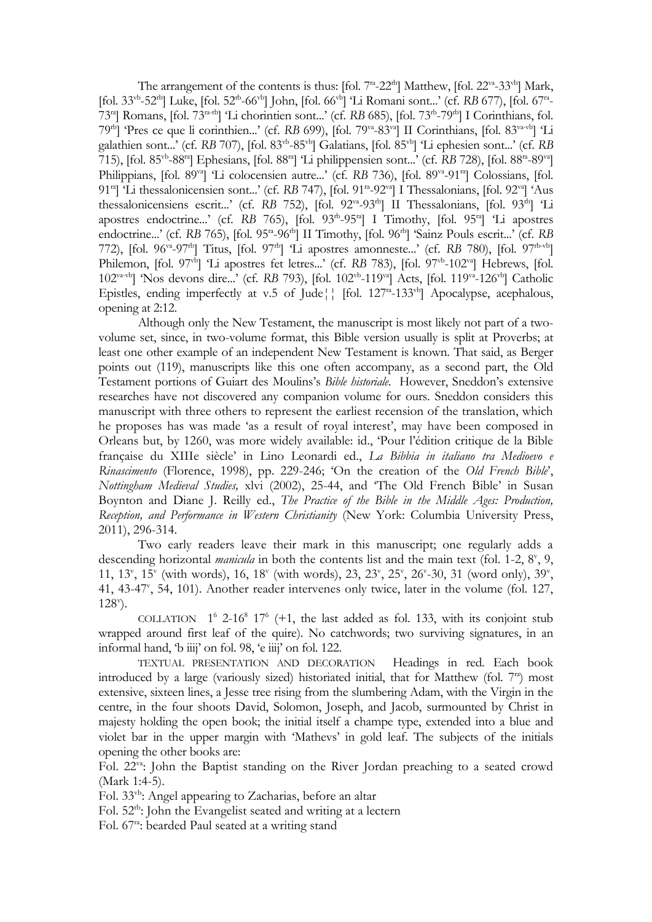The arrangement of the contents is thus: [fol.  $7^{\text{ra}}$ -22<sup>th</sup>] Matthew, [fol. 22<sup>va</sup>-33<sup>vb</sup>] Mark, [fol. 33<sup>vb</sup>-52<sup>tb</sup>] Luke, [fol. 52<sup>tb</sup>-66<sup>vb</sup>] John, [fol. 66<sup>vb</sup>] 'Li Romani sont...' (cf. *RB* 677), [fol. 67<sup>ta</sup>-73<sup>ra</sup>] Romans, [fol. 73<sup>ra-rb</sup>] 'Li chorintien sont...' (cf. *RB* 685), [fol. 73<sup>rb</sup>-79<sup>rb</sup>] I Corinthians, fol. 79<sup>rb</sup>] 'Pres ce que li corinthien...' (cf. *RB* 699), [fol. 79<sup>va</sup>-83<sup>va</sup>] II Corinthians, [fol. 83<sup>va-vb</sup>] 'Li galathien sont...' (cf. *RB* 707), [fol. 83<sup>vb</sup>-85<sup>vb</sup>] Galatians, [fol. 85<sup>vb</sup>] 'Li ephesien sont...' (cf. *RB* 715), [fol. 85vb -88ra] Ephesians, [fol. 88ra] 'Li philippensien sont...' (cf. *RB* 728), [fol. 88ra -89va] Philippians, [fol. 89<sup>va</sup>] 'Li colocensien autre...' (cf. *RB* 736), [fol. 89<sup>va</sup>-91<sup>ra</sup>] Colossians, [fol. 91<sup>ra</sup>] 'Li thessalonicensien sont...' (cf. *RB* 747), [fol. 91<sup>ra</sup>-92<sup>va</sup>] I Thessalonians, [fol. 92<sup>va</sup>] 'Aus thessalonicensiens escrit...' (cf. RB 752), [fol. 92<sup>va</sup>-93<sup>tb</sup>] II Thessalonians, [fol. 93<sup>tb</sup>] 'Li apostres endoctrine...' (cf. RB 765), [fol. 93<sup>rb</sup>-95<sup>ra</sup>] I Timothy, [fol. 95<sup>ra</sup>] 'Li apostres endoctrine...' (cf. *RB* 765), [fol. 95<sup>ra</sup>-96<sup>th</sup>] II Timothy, [fol. 96<sup>th</sup>] 'Sainz Pouls escrit...' (cf. *RB* 772), [fol. 96va -97rb] Titus, [fol. 97rb] 'Li apostres amonneste...' (cf. *RB* 780), [fol. 97rb-vb] Philemon, [fol. 97<sup>th</sup>] 'Li apostres fet letres...' (cf. RB 783), [fol. 97<sup>th</sup>-102<sup>va</sup>] Hebrews, [fol. 102<sup>va-vb</sup>] 'Nos devons dire...' (cf. RB 793), [fol. 102<sup>vb</sup>-119<sup>va</sup>] Acts, [fol. 119<sup>va</sup>-126<sup>vb</sup>] Catholic Epistles, ending imperfectly at v.5 of Jude<sup> $\parallel$ </sup> [fol. 127<sup>ta</sup>-133<sup>vb</sup>] Apocalypse, acephalous, opening at 2:12.

Although only the New Testament, the manuscript is most likely not part of a twovolume set, since, in two-volume format, this Bible version usually is split at Proverbs; at least one other example of an independent New Testament is known. That said, as Berger points out (119), manuscripts like this one often accompany, as a second part, the Old Testament portions of Guiart des Moulins's *Bible historiale*. However, Sneddon's extensive researches have not discovered any companion volume for ours. Sneddon considers this manuscript with three others to represent the earliest recension of the translation, which he proposes has was made 'as a result of royal interest', may have been composed in Orleans but, by 1260, was more widely available: id., 'Pour l'édition critique de la Bible française du XIIIe siècle' in Lino Leonardi ed., *La Bibbia in italiano tra Medioevo e Rinascimento* (Florence, 1998), pp. 229-246; 'On the creation of the *Old French Bible*', *Nottingham Medieval Studies,* xlvi (2002), 25-44, and 'The Old French Bible' in Susan Boynton and Diane J. Reilly ed., *The Practice of the Bible in the Middle Ages: Production, Reception, and Performance in Western Christianity* (New York: Columbia University Press, 2011), 296-314.

Two early readers leave their mark in this manuscript; one regularly adds a descending horizontal *manicula* in both the contents list and the main text (fol. 1-2, 8<sup>v</sup>, 9, 11, 13<sup>v</sup>, 15<sup>v</sup> (with words), 16, 18<sup>v</sup> (with words), 23, 23<sup>v</sup>, 25<sup>v</sup>, 26<sup>v</sup>-30, 31 (word only), 39<sup>v</sup>, 41, 43-47<sup>v</sup>, 54, 101). Another reader intervenes only twice, later in the volume (fol. 127, 128<sup>v</sup> ).

COLLATION  $1^6$  2-16<sup>8</sup> 17<sup>6</sup> (+1, the last added as fol. 133, with its conjoint stub wrapped around first leaf of the quire). No catchwords; two surviving signatures, in an informal hand, 'b iiij' on fol. 98, 'e iiij' on fol. 122.

TEXTUAL PRESENTATION AND DECORATION Headings in red. Each book introduced by a large (variously sized) historiated initial, that for Matthew (fol.  $7<sup>en</sup>$ ) most extensive, sixteen lines, a Jesse tree rising from the slumbering Adam, with the Virgin in the centre, in the four shoots David, Solomon, Joseph, and Jacob, surmounted by Christ in majesty holding the open book; the initial itself a champe type, extended into a blue and violet bar in the upper margin with 'Mathevs' in gold leaf. The subjects of the initials opening the other books are:

Fol. 22va: John the Baptist standing on the River Jordan preaching to a seated crowd (Mark 1:4-5).

Fol. 33vb: Angel appearing to Zacharias, before an altar

Fol. 52rb: John the Evangelist seated and writing at a lectern

Fol. 67ra: bearded Paul seated at a writing stand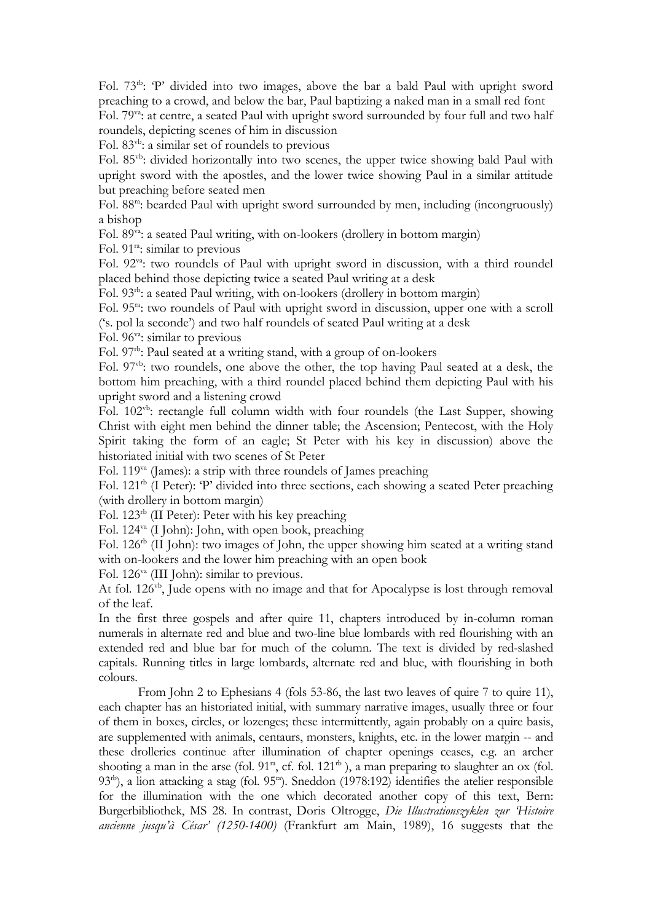Fol. 73<sup>th</sup>: 'P' divided into two images, above the bar a bald Paul with upright sword preaching to a crowd, and below the bar, Paul baptizing a naked man in a small red font Fol. 79va: at centre, a seated Paul with upright sword surrounded by four full and two half

roundels, depicting scenes of him in discussion

Fol. 83vb: a similar set of roundels to previous

Fol. 85<sup>vb</sup>: divided horizontally into two scenes, the upper twice showing bald Paul with upright sword with the apostles, and the lower twice showing Paul in a similar attitude but preaching before seated men

Fol. 88<sup>ra</sup>: bearded Paul with upright sword surrounded by men, including (incongruously) a bishop

Fol. 89<sup>va</sup>: a seated Paul writing, with on-lookers (drollery in bottom margin)

Fol. 91ra: similar to previous

Fol. 92<sup>va</sup>: two roundels of Paul with upright sword in discussion, with a third roundel placed behind those depicting twice a seated Paul writing at a desk

Fol. 93<sup>th</sup>: a seated Paul writing, with on-lookers (drollery in bottom margin)

Fol. 95<sup>ra</sup>: two roundels of Paul with upright sword in discussion, upper one with a scroll ('s. pol la seconde') and two half roundels of seated Paul writing at a desk

Fol. 96<sup>va</sup>: similar to previous

Fol. 97<sup>th</sup>: Paul seated at a writing stand, with a group of on-lookers

Fol. 97<sup>vb</sup>: two roundels, one above the other, the top having Paul seated at a desk, the bottom him preaching, with a third roundel placed behind them depicting Paul with his upright sword and a listening crowd

Fol. 102vb: rectangle full column width with four roundels (the Last Supper, showing Christ with eight men behind the dinner table; the Ascension; Pentecost, with the Holy Spirit taking the form of an eagle; St Peter with his key in discussion) above the historiated initial with two scenes of St Peter

Fol. 119va (James): a strip with three roundels of James preaching

Fol. 121<sup>th</sup> (I Peter): 'P' divided into three sections, each showing a seated Peter preaching (with drollery in bottom margin)

Fol. 123rb (II Peter): Peter with his key preaching

Fol. 124va (I John): John, with open book, preaching

Fol. 126<sup>th</sup> (II John): two images of John, the upper showing him seated at a writing stand with on-lookers and the lower him preaching with an open book

Fol. 126va (III John): similar to previous.

At fol. 126<sup>vb</sup>, Jude opens with no image and that for Apocalypse is lost through removal of the leaf.

In the first three gospels and after quire 11, chapters introduced by in-column roman numerals in alternate red and blue and two-line blue lombards with red flourishing with an extended red and blue bar for much of the column. The text is divided by red-slashed capitals. Running titles in large lombards, alternate red and blue, with flourishing in both colours.

From John 2 to Ephesians 4 (fols 53-86, the last two leaves of quire 7 to quire 11), each chapter has an historiated initial, with summary narrative images, usually three or four of them in boxes, circles, or lozenges; these intermittently, again probably on a quire basis, are supplemented with animals, centaurs, monsters, knights, etc. in the lower margin -- and these drolleries continue after illumination of chapter openings ceases, e.g. an archer shooting a man in the arse (fol.  $91^{\text{ra}}$ , cf. fol.  $121^{\text{rb}}$ ), a man preparing to slaughter an ox (fol. 93<sup>th</sup>), a lion attacking a stag (fol. 95<sup>ra</sup>). Sneddon (1978:192) identifies the atelier responsible for the illumination with the one which decorated another copy of this text, Bern: Burgerbibliothek, MS 28. In contrast, Doris Oltrogge, *Die Illustrationszyklen zur 'Histoire ancienne jusqu'à César' (1250-1400)* (Frankfurt am Main, 1989), 16 suggests that the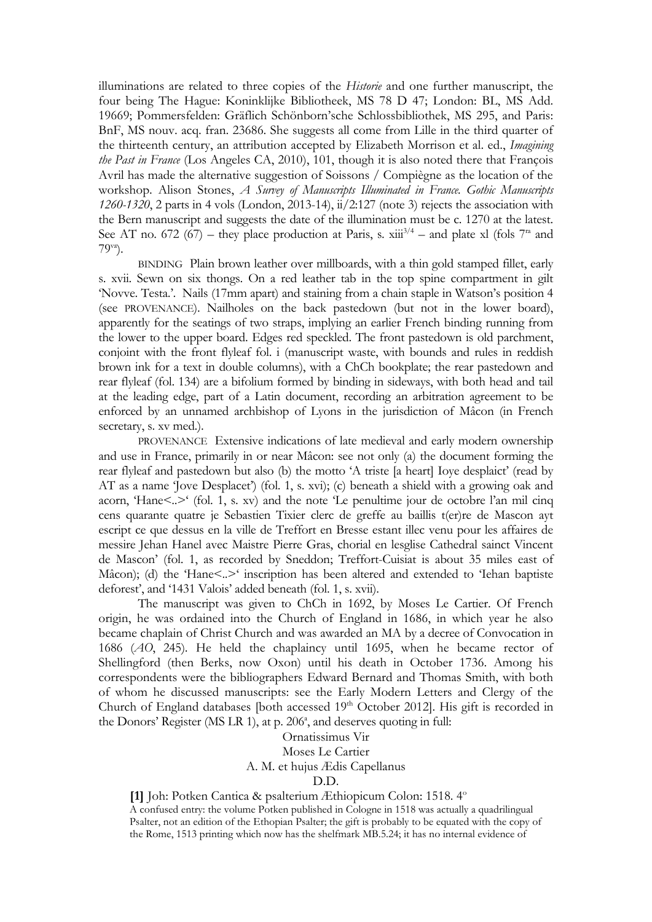illuminations are related to three copies of the *Historie* and one further manuscript, the four being The Hague: Koninklijke Bibliotheek, MS 78 D 47; London: BL, MS Add. 19669; Pommersfelden: Gräflich Schönborn'sche Schlossbibliothek, MS 295, and Paris: BnF, MS nouv. acq. fran. 23686. She suggests all come from Lille in the third quarter of the thirteenth century, an attribution accepted by Elizabeth Morrison et al. ed., *Imagining the Past in France* (Los Angeles CA, 2010), 101, though it is also noted there that François Avril has made the alternative suggestion of Soissons / Compiègne as the location of the workshop. Alison Stones, *A Survey of Manuscripts Illuminated in France. Gothic Manuscripts 1260-1320*, 2 parts in 4 vols (London, 2013-14), ii/2:127 (note 3) rejects the association with the Bern manuscript and suggests the date of the illumination must be c. 1270 at the latest. See AT no. 672 (67) – they place production at Paris, s.  $xiii^{3/4}$  – and plate xl (fols 7<sup>ra</sup> and 79va).

BINDING Plain brown leather over millboards, with a thin gold stamped fillet, early s. xvii. Sewn on six thongs. On a red leather tab in the top spine compartment in gilt 'Novve. Testa.'. Nails (17mm apart) and staining from a chain staple in Watson's position 4 (see PROVENANCE). Nailholes on the back pastedown (but not in the lower board), apparently for the seatings of two straps, implying an earlier French binding running from the lower to the upper board. Edges red speckled. The front pastedown is old parchment, conjoint with the front flyleaf fol. i (manuscript waste, with bounds and rules in reddish brown ink for a text in double columns), with a ChCh bookplate; the rear pastedown and rear flyleaf (fol. 134) are a bifolium formed by binding in sideways, with both head and tail at the leading edge, part of a Latin document, recording an arbitration agreement to be enforced by an unnamed archbishop of Lyons in the jurisdiction of Mâcon (in French secretary, s. xv med.).

PROVENANCE Extensive indications of late medieval and early modern ownership and use in France, primarily in or near Mâcon: see not only (a) the document forming the rear flyleaf and pastedown but also (b) the motto 'A triste [a heart] Ioye desplaict' (read by AT as a name 'Jove Desplacet') (fol. 1, s. xvi); (c) beneath a shield with a growing oak and acorn, 'Hane<..>' (fol. 1, s. xv) and the note 'Le penultime jour de octobre l'an mil cinq cens quarante quatre je Sebastien Tixier clerc de greffe au baillis t(er)re de Mascon ayt escript ce que dessus en la ville de Treffort en Bresse estant illec venu pour les affaires de messire Jehan Hanel avec Maistre Pierre Gras, chorial en lesglise Cathedral sainct Vincent de Mascon' (fol. 1, as recorded by Sneddon; Treffort-Cuisiat is about 35 miles east of Mâcon); (d) the 'Hane<..> inscription has been altered and extended to 'Iehan baptiste deforest', and '1431 Valois' added beneath (fol. 1, s. xvii).

The manuscript was given to ChCh in 1692, by Moses Le Cartier. Of French origin, he was ordained into the Church of England in 1686, in which year he also became chaplain of Christ Church and was awarded an MA by a decree of Convocation in 1686 (*AO*, 245). He held the chaplaincy until 1695, when he became rector of Shellingford (then Berks, now Oxon) until his death in October 1736. Among his correspondents were the bibliographers Edward Bernard and Thomas Smith, with both of whom he discussed manuscripts: see the Early Modern Letters and Clergy of the Church of England databases [both accessed 19<sup>th</sup> October 2012]. His gift is recorded in the Donors' Register (MS LR 1), at p. 206<sup>a</sup>, and deserves quoting in full:

> Ornatissimus Vir Moses Le Cartier A. M. et hujus Ædis Capellanus D.D.

**[1]** Joh: Potken Cantica & psalterium Æthiopicum Colon: 1518. 4<sup>o</sup>

A confused entry: the volume Potken published in Cologne in 1518 was actually a quadrilingual Psalter, not an edition of the Ethopian Psalter; the gift is probably to be equated with the copy of the Rome, 1513 printing which now has the shelfmark MB.5.24; it has no internal evidence of